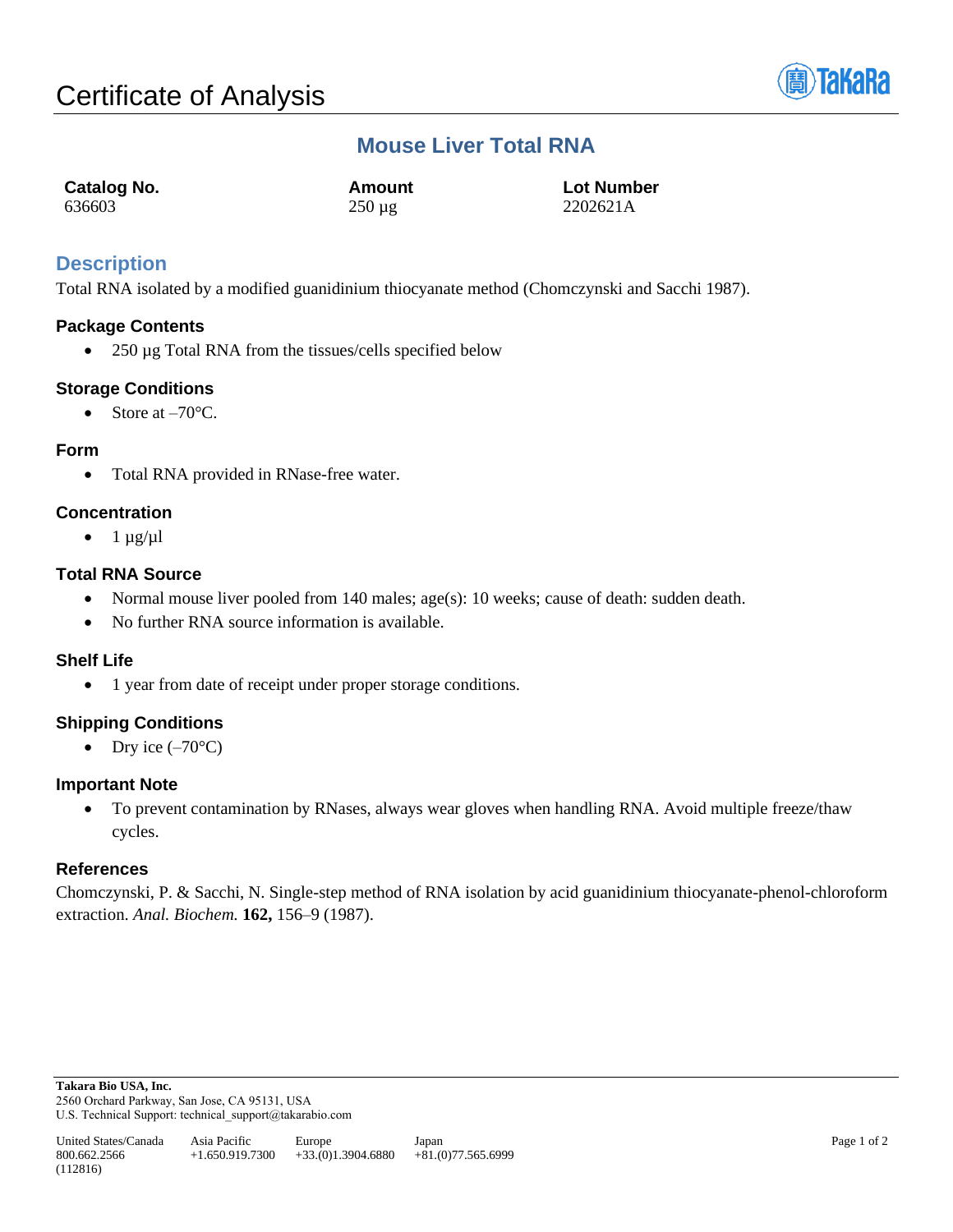

# **Mouse Liver Total RNA**

| <b>Catalog No.</b> | Amount      | <b>Lot Number</b> |
|--------------------|-------------|-------------------|
| 636603             | $250 \mu g$ | 2202621A          |

## **Description**

Total RNA isolated by a modified guanidinium thiocyanate method (Chomczynski and Sacchi 1987).

## **Package Contents**

• 250 µg Total RNA from the tissues/cells specified below

## **Storage Conditions**

• Store at  $-70^{\circ}$ C.

#### **Form**

• Total RNA provided in RNase-free water.

## **Concentration**

 $\bullet$  1  $\mu$ g/ $\mu$ l

## **Total RNA Source**

- Normal mouse liver pooled from 140 males; age(s): 10 weeks; cause of death: sudden death.
- No further RNA source information is available.

#### **Shelf Life**

• 1 year from date of receipt under proper storage conditions.

## **Shipping Conditions**

• Dry ice  $(-70^{\circ}C)$ 

#### **Important Note**

• To prevent contamination by RNases, always wear gloves when handling RNA. Avoid multiple freeze/thaw cycles.

#### **References**

Chomczynski, P. & Sacchi, N. Single-step method of RNA isolation by acid guanidinium thiocyanate-phenol-chloroform extraction. *Anal. Biochem.* **162,** 156–9 (1987).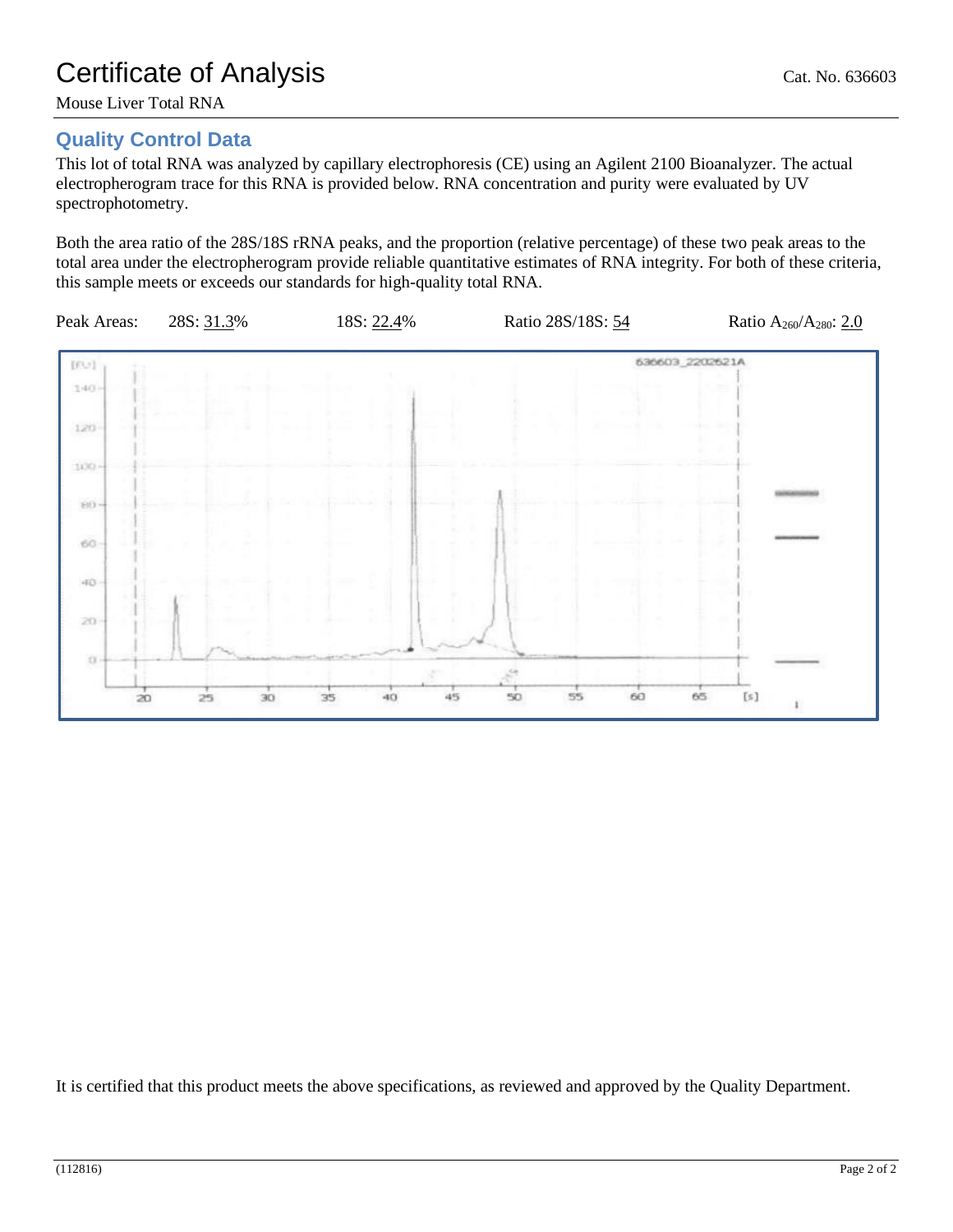Mouse Liver Total RNA

# **Quality Control Data**

This lot of total RNA was analyzed by capillary electrophoresis (CE) using an Agilent 2100 Bioanalyzer. The actual electropherogram trace for this RNA is provided below. RNA concentration and purity were evaluated by UV spectrophotometry.

Both the area ratio of the 28S/18S rRNA peaks, and the proportion (relative percentage) of these two peak areas to the total area under the electropherogram provide reliable quantitative estimates of RNA integrity. For both of these criteria, this sample meets or exceeds our standards for high-quality total RNA.



It is certified that this product meets the above specifications, as reviewed and approved by the Quality Department.